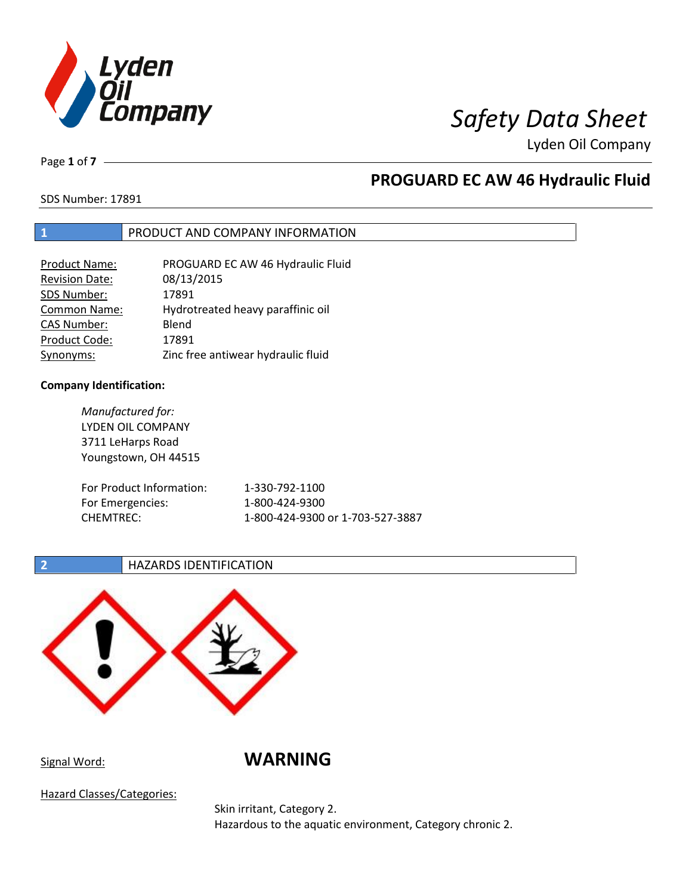

Page **1** of **7**

# **PROGUARD EC AW 46 Hydraulic Fluid**

SDS Number: 17891

### **1** PRODUCT AND COMPANY INFORMATION

| Product Name:         | PROGUARD EC AW 46 Hydraulic Fluid  |
|-----------------------|------------------------------------|
| <b>Revision Date:</b> | 08/13/2015                         |
| SDS Number:           | 17891                              |
| Common Name:          | Hydrotreated heavy paraffinic oil  |
| <b>CAS Number:</b>    | Blend                              |
| Product Code:         | 17891                              |
| Synonyms:             | Zinc free antiwear hydraulic fluid |

### **Company Identification:**

*Manufactured for:* LYDEN OIL COMPANY 3711 LeHarps Road Youngstown, OH 44515 For Product Information: 1-330-792-1100 For Emergencies: 1-800-424-9300 CHEMTREC: 1-800-424-9300 or 1-703-527-3887

### **2 HAZARDS IDENTIFICATION**



Signal Word: **WARNING**

Hazard Classes/Categories:

Skin irritant, Category 2. Hazardous to the aquatic environment, Category chronic 2.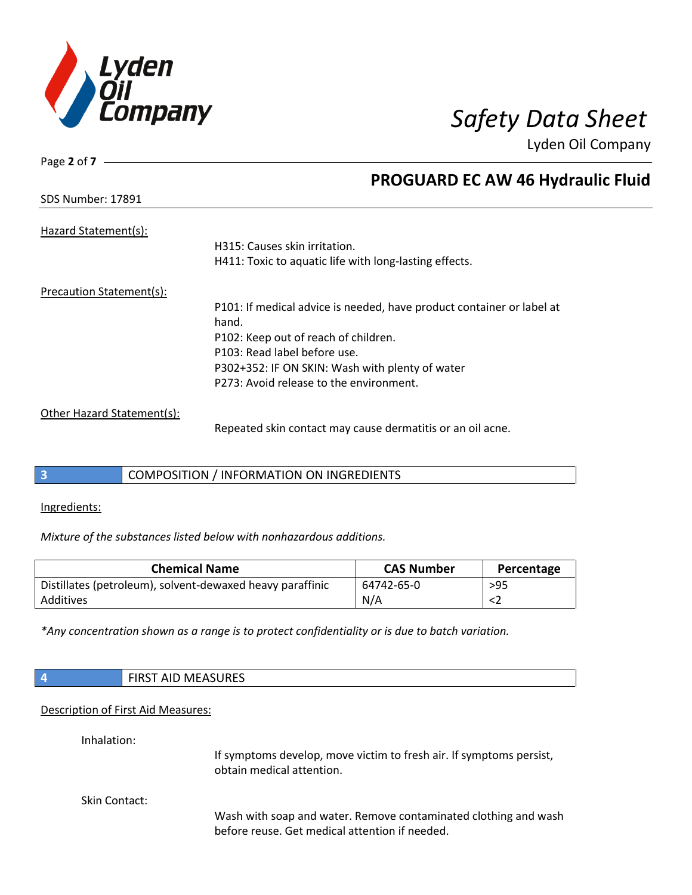

Page **2** of **7**

# **PROGUARD EC AW 46 Hydraulic Fluid**

| <b>SDS Number: 17891</b>   |                                                                       |
|----------------------------|-----------------------------------------------------------------------|
| Hazard Statement(s):       |                                                                       |
|                            | H315: Causes skin irritation.                                         |
|                            | H411: Toxic to aquatic life with long-lasting effects.                |
| Precaution Statement(s):   |                                                                       |
|                            | P101: If medical advice is needed, have product container or label at |
|                            | hand.                                                                 |
|                            | P102: Keep out of reach of children.                                  |
|                            | P103: Read label before use.                                          |
|                            | P302+352: IF ON SKIN: Wash with plenty of water                       |
|                            | P273: Avoid release to the environment.                               |
| Other Hazard Statement(s): |                                                                       |
|                            | Repeated skin contact may cause dermatitis or an oil acne.            |

### **3** COMPOSITION / INFORMATION ON INGREDIENTS

Ingredients:

*Mixture of the substances listed below with nonhazardous additions.*

| <b>Chemical Name</b>                                      | <b>CAS Number</b> | Percentage |
|-----------------------------------------------------------|-------------------|------------|
| Distillates (petroleum), solvent-dewaxed heavy paraffinic | 64742-65-0        | $>95$      |
| Additives                                                 | N/A               |            |

*\*Any concentration shown as a range is to protect confidentiality or is due to batch variation.*

| $\sqrt{4}$    | <b>FIRST AID MEASURES</b>                                                                                         |  |
|---------------|-------------------------------------------------------------------------------------------------------------------|--|
|               | Description of First Aid Measures:                                                                                |  |
| Inhalation:   | If symptoms develop, move victim to fresh air. If symptoms persist,<br>obtain medical attention.                  |  |
| Skin Contact: | Wash with soap and water. Remove contaminated clothing and wash<br>before reuse. Get medical attention if needed. |  |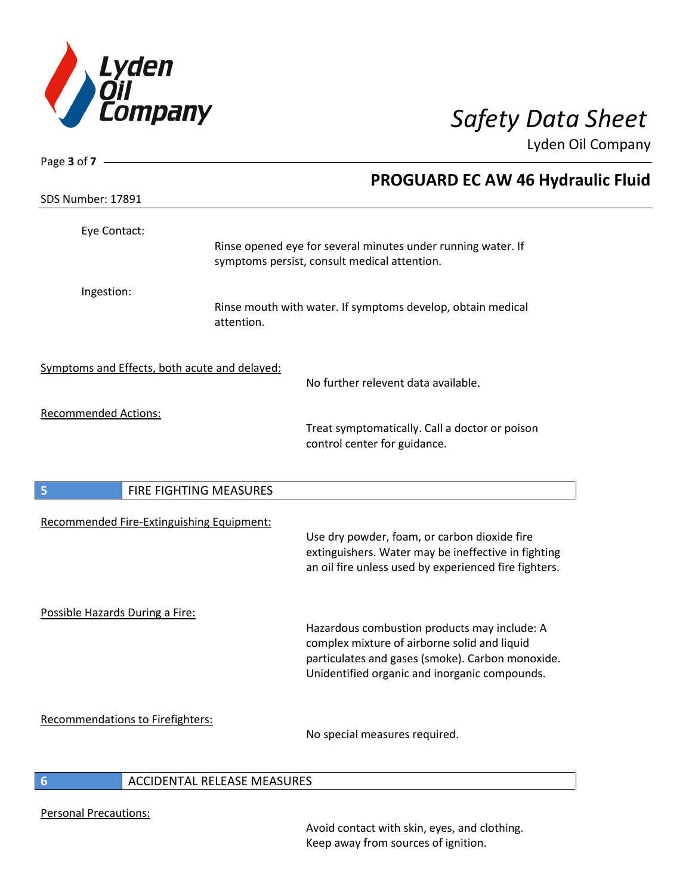

| Page 3 of 7 $\_\_\_\_\_\$                     |                              |                                                                                                                                                                                                   |
|-----------------------------------------------|------------------------------|---------------------------------------------------------------------------------------------------------------------------------------------------------------------------------------------------|
|                                               |                              | <b>PROGUARD EC AW 46 Hydraulic Fluid</b>                                                                                                                                                          |
| <b>SDS Number: 17891</b>                      |                              |                                                                                                                                                                                                   |
| Eye Contact:                                  |                              | Rinse opened eye for several minutes under running water. If<br>symptoms persist, consult medical attention.                                                                                      |
| Ingestion:                                    | attention.                   | Rinse mouth with water. If symptoms develop, obtain medical                                                                                                                                       |
| Symptoms and Effects, both acute and delayed: |                              | No further relevent data available.                                                                                                                                                               |
| <b>Recommended Actions:</b>                   |                              | Treat symptomatically. Call a doctor or poison<br>control center for guidance.                                                                                                                    |
| $\overline{\mathbf{5}}$                       | FIRE FIGHTING MEASURES       |                                                                                                                                                                                                   |
| Recommended Fire-Extinguishing Equipment:     |                              | Use dry powder, foam, or carbon dioxide fire<br>extinguishers. Water may be ineffective in fighting<br>an oil fire unless used by experienced fire fighters.                                      |
| Possible Hazards During a Fire:               |                              | Hazardous combustion products may include: A<br>complex mixture of airborne solid and liquid<br>particulates and gases (smoke). Carbon monoxide.<br>Unidentified organic and inorganic compounds. |
| <b>Recommendations to Firefighters:</b>       |                              | No special measures required.                                                                                                                                                                     |
|                                               | ACCIDENTAL DELEACE MEACLIDEC |                                                                                                                                                                                                   |

### **6** ACCIDENTAL RELEASE MEASURES

Personal Precautions:

I

Avoid contact with skin, eyes, and clothing. Keep away from sources of ignition.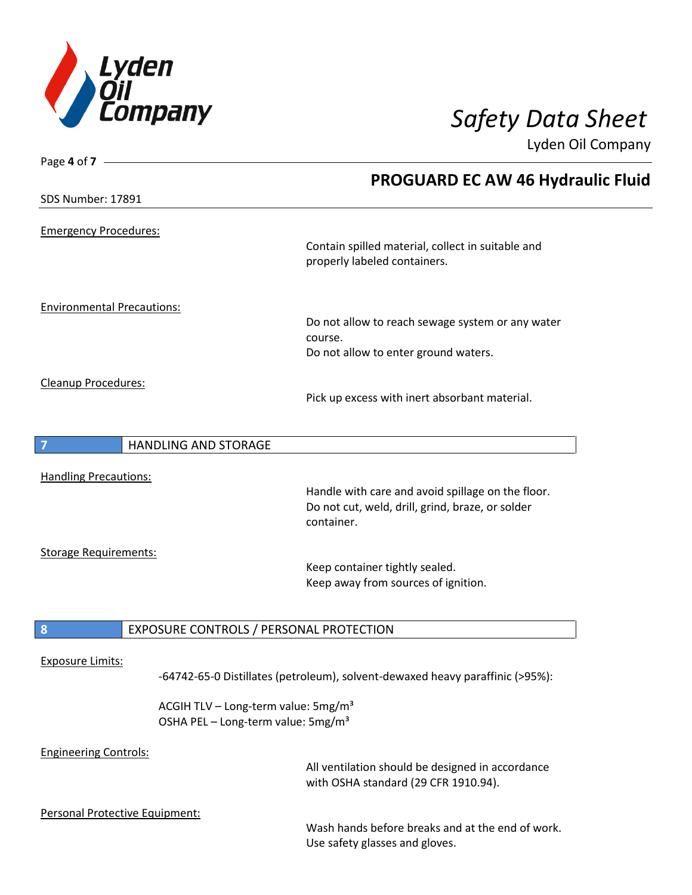

| Page 4 of 7 -                     |                                                                                                   |                                                                                          |
|-----------------------------------|---------------------------------------------------------------------------------------------------|------------------------------------------------------------------------------------------|
|                                   |                                                                                                   | <b>PROGUARD EC AW 46 Hydraulic Fluid</b>                                                 |
| <b>SDS Number: 17891</b>          |                                                                                                   |                                                                                          |
| <b>Emergency Procedures:</b>      |                                                                                                   |                                                                                          |
|                                   |                                                                                                   | Contain spilled material, collect in suitable and<br>properly labeled containers.        |
| <b>Environmental Precautions:</b> |                                                                                                   |                                                                                          |
|                                   |                                                                                                   | Do not allow to reach sewage system or any water<br>course.                              |
|                                   |                                                                                                   | Do not allow to enter ground waters.                                                     |
| Cleanup Procedures:               |                                                                                                   |                                                                                          |
|                                   |                                                                                                   | Pick up excess with inert absorbant material.                                            |
|                                   | <b>HANDLING AND STORAGE</b>                                                                       |                                                                                          |
| <b>Handling Precautions:</b>      |                                                                                                   |                                                                                          |
|                                   |                                                                                                   | Handle with care and avoid spillage on the floor.                                        |
|                                   |                                                                                                   | Do not cut, weld, drill, grind, braze, or solder<br>container.                           |
| <b>Storage Requirements:</b>      |                                                                                                   |                                                                                          |
|                                   |                                                                                                   | Keep container tightly sealed.                                                           |
|                                   |                                                                                                   | Keep away from sources of ignition.                                                      |
| 8                                 | EXPOSURE CONTROLS / PERSONAL PROTECTION                                                           |                                                                                          |
|                                   |                                                                                                   |                                                                                          |
| <b>Exposure Limits:</b>           |                                                                                                   | -64742-65-0 Distillates (petroleum), solvent-dewaxed heavy paraffinic (>95%):            |
|                                   | ACGIH TLV - Long-term value: 5mg/m <sup>3</sup><br>OSHA PEL - Long-term value: 5mg/m <sup>3</sup> |                                                                                          |
| <b>Engineering Controls:</b>      |                                                                                                   | All ventilation should be designed in accordance<br>with OSHA standard (29 CFR 1910.94). |
| Personal Protective Equipment:    |                                                                                                   |                                                                                          |

Wash hands before breaks and at the end of work. Use safety glasses and gloves.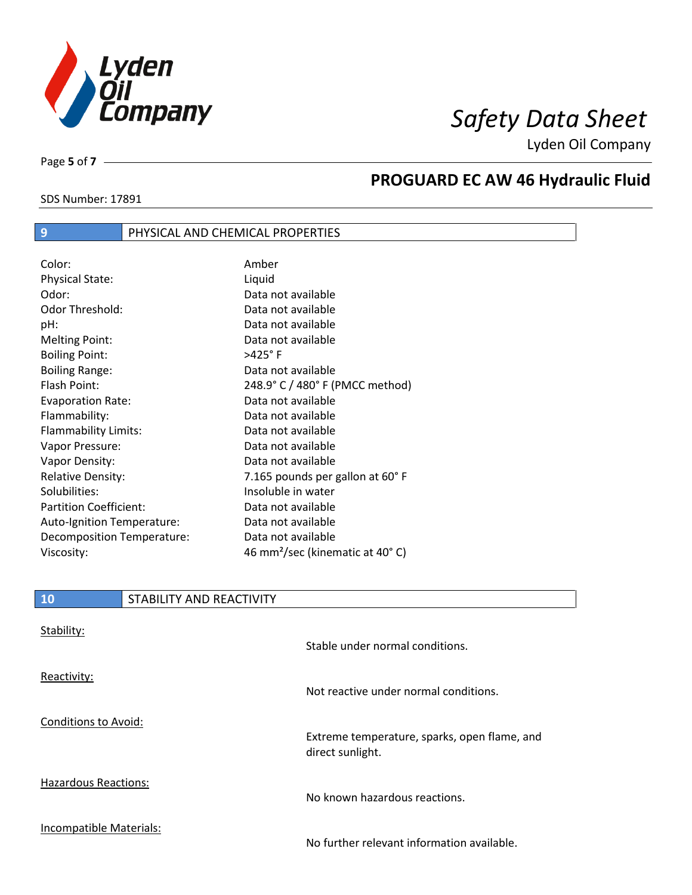

SDS Number: 17891

Page **5** of **7**

# **PROGUARD EC AW 46 Hydraulic Fluid**

## **9** PHYSICAL AND CHEMICAL PROPERTIES

| Color:                        | Amber                                       |
|-------------------------------|---------------------------------------------|
| <b>Physical State:</b>        | Liquid                                      |
| Odor:                         | Data not available                          |
| Odor Threshold:               | Data not available                          |
| pH:                           | Data not available                          |
| Melting Point:                | Data not available                          |
| <b>Boiling Point:</b>         | $>425^\circ$ F                              |
| <b>Boiling Range:</b>         | Data not available                          |
| Flash Point:                  | 248.9° C / 480° F (PMCC method)             |
| <b>Evaporation Rate:</b>      | Data not available                          |
| Flammability:                 | Data not available                          |
| Flammability Limits:          | Data not available                          |
| Vapor Pressure:               | Data not available                          |
| Vapor Density:                | Data not available                          |
| <b>Relative Density:</b>      | 7.165 pounds per gallon at 60°F             |
| Solubilities:                 | Insoluble in water                          |
| <b>Partition Coefficient:</b> | Data not available                          |
| Auto-Ignition Temperature:    | Data not available                          |
| Decomposition Temperature:    | Data not available                          |
| Viscosity:                    | 46 mm <sup>2</sup> /sec (kinematic at 40°C) |

| <b>10</b>                   | STABILITY AND REACTIVITY |                                                                  |
|-----------------------------|--------------------------|------------------------------------------------------------------|
| Stability:                  |                          | Stable under normal conditions.                                  |
| Reactivity:                 |                          | Not reactive under normal conditions.                            |
| <b>Conditions to Avoid:</b> |                          | Extreme temperature, sparks, open flame, and<br>direct sunlight. |
| <b>Hazardous Reactions:</b> |                          | No known hazardous reactions.                                    |
| Incompatible Materials:     |                          |                                                                  |

No further relevant information available.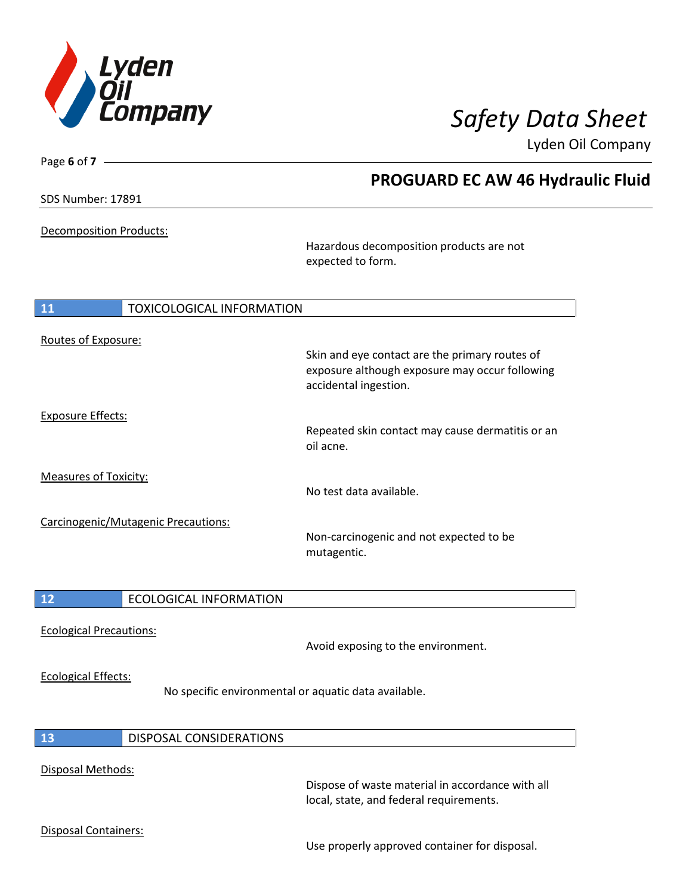

**Oil Company** 

| Page 6 of 7                            |                                                                                                                           | Lyden Oil Company |
|----------------------------------------|---------------------------------------------------------------------------------------------------------------------------|-------------------|
|                                        | <b>PROGUARD EC AW 46 Hydraulic Fluid</b>                                                                                  |                   |
| <b>SDS Number: 17891</b>               |                                                                                                                           |                   |
| Decomposition Products:                |                                                                                                                           |                   |
|                                        | Hazardous decomposition products are not<br>expected to form.                                                             |                   |
| 11<br><b>TOXICOLOGICAL INFORMATION</b> |                                                                                                                           |                   |
| Routes of Exposure:                    |                                                                                                                           |                   |
|                                        | Skin and eye contact are the primary routes of<br>exposure although exposure may occur following<br>accidental ingestion. |                   |
| <b>Exposure Effects:</b>               |                                                                                                                           |                   |
|                                        | Repeated skin contact may cause dermatitis or an<br>oil acne.                                                             |                   |
| <b>Measures of Toxicity:</b>           | No test data available.                                                                                                   |                   |
| Carcinogenic/Mutagenic Precautions:    |                                                                                                                           |                   |
|                                        | Non-carcinogenic and not expected to be<br>mutagentic.                                                                    |                   |
| 12<br><b>ECOLOGICAL INFORMATION</b>    |                                                                                                                           |                   |
| <b>Ecological Precautions:</b>         |                                                                                                                           |                   |
|                                        | Avoid exposing to the environment.                                                                                        |                   |
| <b>Ecological Effects:</b>             | No specific environmental or aquatic data available.                                                                      |                   |
| 13<br>DISPOSAL CONSIDERATIONS          |                                                                                                                           |                   |
| <b>Disposal Methods:</b>               |                                                                                                                           |                   |

Dispose of waste material in accordance with all local, state, and federal requirements.

Disposal Containers:

Use properly approved container for disposal.